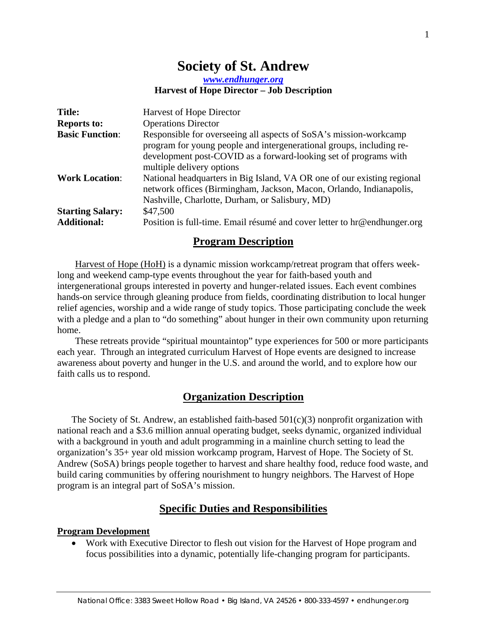# **Society of St. Andrew**

*www.endhunger.org*

#### **Harvest of Hope Director – Job Description**

| <b>Title:</b>           | <b>Harvest of Hope Director</b>                                                                                                                                                                                                            |
|-------------------------|--------------------------------------------------------------------------------------------------------------------------------------------------------------------------------------------------------------------------------------------|
| <b>Reports to:</b>      | <b>Operations Director</b>                                                                                                                                                                                                                 |
| <b>Basic Function:</b>  | Responsible for overseeing all aspects of SoSA's mission-workcamp<br>program for young people and intergenerational groups, including re-<br>development post-COVID as a forward-looking set of programs with<br>multiple delivery options |
| <b>Work Location:</b>   | National headquarters in Big Island, VA OR one of our existing regional<br>network offices (Birmingham, Jackson, Macon, Orlando, Indianapolis,<br>Nashville, Charlotte, Durham, or Salisbury, MD)                                          |
| <b>Starting Salary:</b> | \$47,500                                                                                                                                                                                                                                   |
| <b>Additional:</b>      | Position is full-time. Email résumé and cover letter to hr@endhunger.org                                                                                                                                                                   |

#### **Program Description**

Harvest of Hope (HoH) is a dynamic mission workcamp/retreat program that offers weeklong and weekend camp-type events throughout the year for faith-based youth and intergenerational groups interested in poverty and hunger-related issues. Each event combines hands-on service through gleaning produce from fields, coordinating distribution to local hunger relief agencies, worship and a wide range of study topics. Those participating conclude the week with a pledge and a plan to "do something" about hunger in their own community upon returning home.

These retreats provide "spiritual mountaintop" type experiences for 500 or more participants each year. Through an integrated curriculum Harvest of Hope events are designed to increase awareness about poverty and hunger in the U.S. and around the world, and to explore how our faith calls us to respond.

#### **Organization Description**

The Society of St. Andrew, an established faith-based  $501(c)(3)$  nonprofit organization with national reach and a \$3.6 million annual operating budget, seeks dynamic, organized individual with a background in youth and adult programming in a mainline church setting to lead the organization's 35+ year old mission workcamp program, Harvest of Hope. The Society of St. Andrew (SoSA) brings people together to harvest and share healthy food, reduce food waste, and build caring communities by offering nourishment to hungry neighbors. The Harvest of Hope program is an integral part of SoSA's mission.

### **Specific Duties and Responsibilities**

#### **Program Development**

 Work with Executive Director to flesh out vision for the Harvest of Hope program and focus possibilities into a dynamic, potentially life-changing program for participants.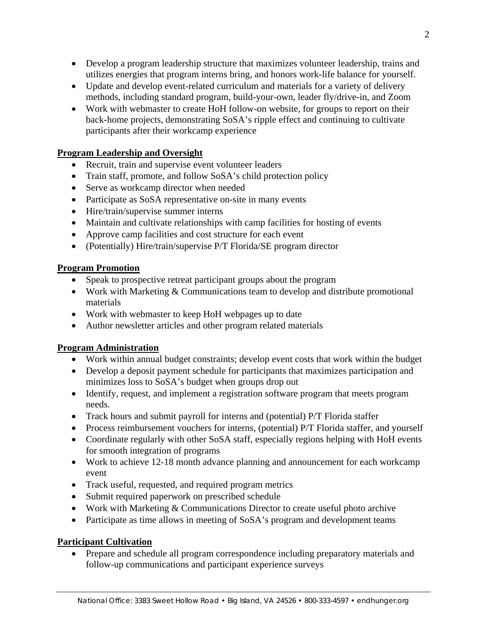- Develop a program leadership structure that maximizes volunteer leadership, trains and utilizes energies that program interns bring, and honors work-life balance for yourself.
- Update and develop event-related curriculum and materials for a variety of delivery methods, including standard program, build-your-own, leader fly/drive-in, and Zoom
- Work with webmaster to create HoH follow-on website, for groups to report on their back-home projects, demonstrating SoSA's ripple effect and continuing to cultivate participants after their workcamp experience

## **Program Leadership and Oversight**

- Recruit, train and supervise event volunteer leaders
- Train staff, promote, and follow SoSA's child protection policy
- Serve as workcamp director when needed
- Participate as SoSA representative on-site in many events
- Hire/train/supervise summer interns
- Maintain and cultivate relationships with camp facilities for hosting of events
- Approve camp facilities and cost structure for each event
- (Potentially) Hire/train/supervise P/T Florida/SE program director

### **Program Promotion**

- Speak to prospective retreat participant groups about the program
- Work with Marketing & Communications team to develop and distribute promotional materials
- Work with webmaster to keep HoH webpages up to date
- Author newsletter articles and other program related materials

### **Program Administration**

- Work within annual budget constraints; develop event costs that work within the budget
- Develop a deposit payment schedule for participants that maximizes participation and minimizes loss to SoSA's budget when groups drop out
- Identify, request, and implement a registration software program that meets program needs.
- Track hours and submit payroll for interns and (potential) P/T Florida staffer
- Process reimbursement vouchers for interns, (potential) P/T Florida staffer, and yourself
- Coordinate regularly with other SoSA staff, especially regions helping with HoH events for smooth integration of programs
- Work to achieve 12-18 month advance planning and announcement for each workcamp event
- Track useful, requested, and required program metrics
- Submit required paperwork on prescribed schedule
- Work with Marketing & Communications Director to create useful photo archive
- Participate as time allows in meeting of SoSA's program and development teams

### **Participant Cultivation**

 Prepare and schedule all program correspondence including preparatory materials and follow-up communications and participant experience surveys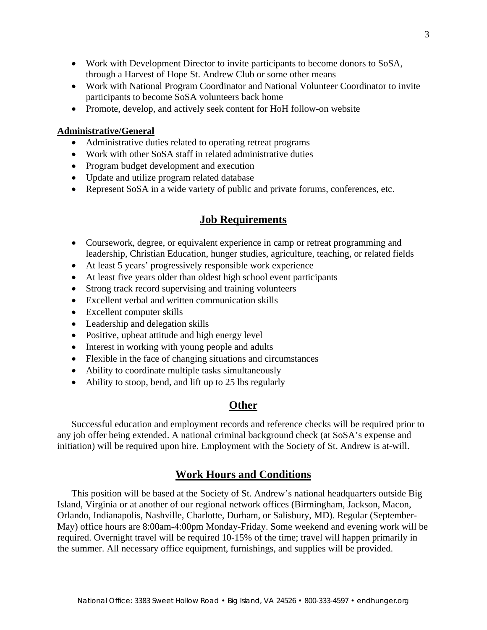- Work with Development Director to invite participants to become donors to SoSA, through a Harvest of Hope St. Andrew Club or some other means
- Work with National Program Coordinator and National Volunteer Coordinator to invite participants to become SoSA volunteers back home
- Promote, develop, and actively seek content for HoH follow-on website

#### **Administrative/General**

- Administrative duties related to operating retreat programs
- Work with other SoSA staff in related administrative duties
- Program budget development and execution
- Update and utilize program related database
- Represent SoSA in a wide variety of public and private forums, conferences, etc.

# **Job Requirements**

- Coursework, degree, or equivalent experience in camp or retreat programming and leadership, Christian Education, hunger studies, agriculture, teaching, or related fields
- At least 5 years' progressively responsible work experience
- At least five years older than oldest high school event participants
- Strong track record supervising and training volunteers
- Excellent verbal and written communication skills
- Excellent computer skills
- Leadership and delegation skills
- Positive, upbeat attitude and high energy level
- Interest in working with young people and adults
- Flexible in the face of changing situations and circumstances
- Ability to coordinate multiple tasks simultaneously
- Ability to stoop, bend, and lift up to 25 lbs regularly

# **Other**

Successful education and employment records and reference checks will be required prior to any job offer being extended. A national criminal background check (at SoSA's expense and initiation) will be required upon hire. Employment with the Society of St. Andrew is at-will.

# **Work Hours and Conditions**

This position will be based at the Society of St. Andrew's national headquarters outside Big Island, Virginia or at another of our regional network offices (Birmingham, Jackson, Macon, Orlando, Indianapolis, Nashville, Charlotte, Durham, or Salisbury, MD). Regular (September-May) office hours are 8:00am-4:00pm Monday-Friday. Some weekend and evening work will be required. Overnight travel will be required 10-15% of the time; travel will happen primarily in the summer. All necessary office equipment, furnishings, and supplies will be provided.